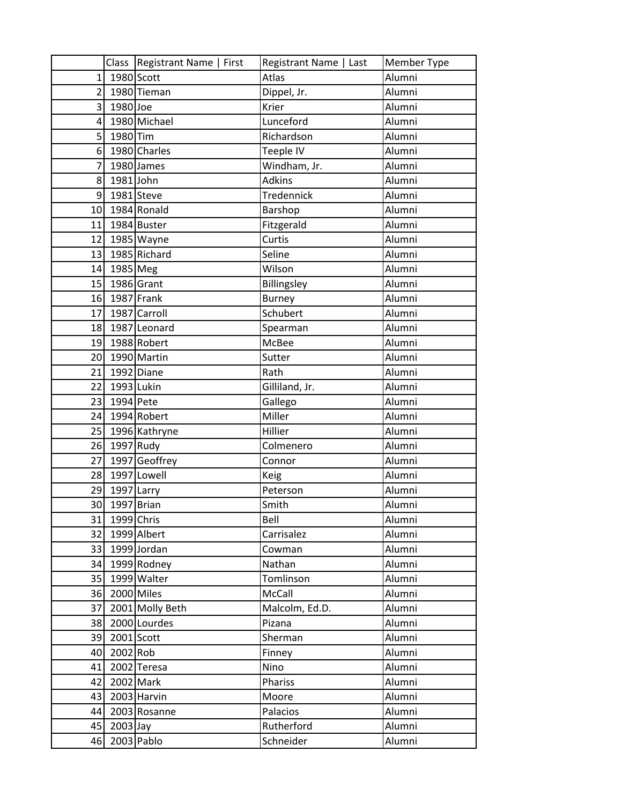|                 |               | Class   Registrant Name   First | Registrant Name   Last | Member Type |
|-----------------|---------------|---------------------------------|------------------------|-------------|
| 1               | 1980 Scott    |                                 | Atlas                  | Alumni      |
| $\overline{2}$  |               | 1980 Tieman                     | Dippel, Jr.            | Alumni      |
| $\overline{3}$  | 1980 Joe      |                                 | Krier                  | Alumni      |
| $\vert 4 \vert$ |               | 1980 Michael                    | Lunceford              | Alumni      |
| 5               | 1980 Tim      |                                 | Richardson             | Alumni      |
| 6 <sup>1</sup>  |               | 1980 Charles                    | Teeple IV              | Alumni      |
| 7               |               | 1980 James                      | Windham, Jr.           | Alumni      |
| 8               | 1981 John     |                                 | <b>Adkins</b>          | Alumni      |
| $\overline{9}$  | 1981 Steve    |                                 | Tredennick             | Alumni      |
|                 |               | 10 1984 Ronald                  | Barshop                | Alumni      |
|                 |               | 11 1984 Buster                  | Fitzgerald             | Alumni      |
| 12              |               | 1985 Wayne                      | Curtis                 | Alumni      |
| 13              |               | 1985 Richard                    | Seline                 | Alumni      |
|                 | 14 1985 Meg   |                                 | Wilson                 | Alumni      |
|                 | 15 1986 Grant |                                 | Billingsley            | Alumni      |
|                 | 16 1987 Frank |                                 | <b>Burney</b>          | Alumni      |
| 17              |               | 1987 Carroll                    | Schubert               | Alumni      |
| 18              |               | 1987 Leonard                    | Spearman               | Alumni      |
|                 |               | 19 1988 Robert                  | McBee                  | Alumni      |
|                 |               | 20 1990 Martin                  | Sutter                 | Alumni      |
| 21              |               | 1992 Diane                      | Rath                   | Alumni      |
| 22              | 1993 Lukin    |                                 | Gilliland, Jr.         | Alumni      |
| 23              | 1994 Pete     |                                 | Gallego                | Alumni      |
|                 |               | 24 1994 Robert                  | Miller                 | Alumni      |
|                 |               | 25 1996 Kathryne                | Hillier                | Alumni      |
|                 | 26 1997 Rudy  |                                 | Colmenero              | Alumni      |
| 27              |               | 1997 Geoffrey                   | Connor                 | Alumni      |
| 28              |               | 1997 Lowell                     | Keig                   | Alumni      |
| 29              | 1997 Larry    |                                 | Peterson               | Alumni      |
| 30              | 1997 Brian    |                                 | Smith                  | Alumni      |
| 31              | 1999 Chris    |                                 | Bell                   | Alumni      |
| 32              |               | 1999 Albert                     | Carrisalez             | Alumni      |
|                 |               | 33 1999 Jordan                  | Cowman                 | Alumni      |
| 34              |               | 1999 Rodney                     | Nathan                 | Alumni      |
| 35              |               | 1999 Walter                     | Tomlinson              | Alumni      |
| 36              |               | 2000 Miles                      | McCall                 | Alumni      |
| 37              |               | 2001 Molly Beth                 | Malcolm, Ed.D.         | Alumni      |
| 38              |               | 2000 Lourdes                    | Pizana                 | Alumni      |
| 39              |               | $2001$ Scott                    | Sherman                | Alumni      |
| 40              | 2002 Rob      |                                 | Finney                 | Alumni      |
| 41              |               | 2002 Teresa                     | Nino                   | Alumni      |
| 42              | 2002 Mark     |                                 | Phariss                | Alumni      |
| 43              |               | 2003 Harvin                     | Moore                  | Alumni      |
| 44              |               | 2003 Rosanne                    | Palacios               | Alumni      |
| 45              | $2003$ Jay    |                                 | Rutherford             | Alumni      |
| 46              |               | 2003 Pablo                      | Schneider              | Alumni      |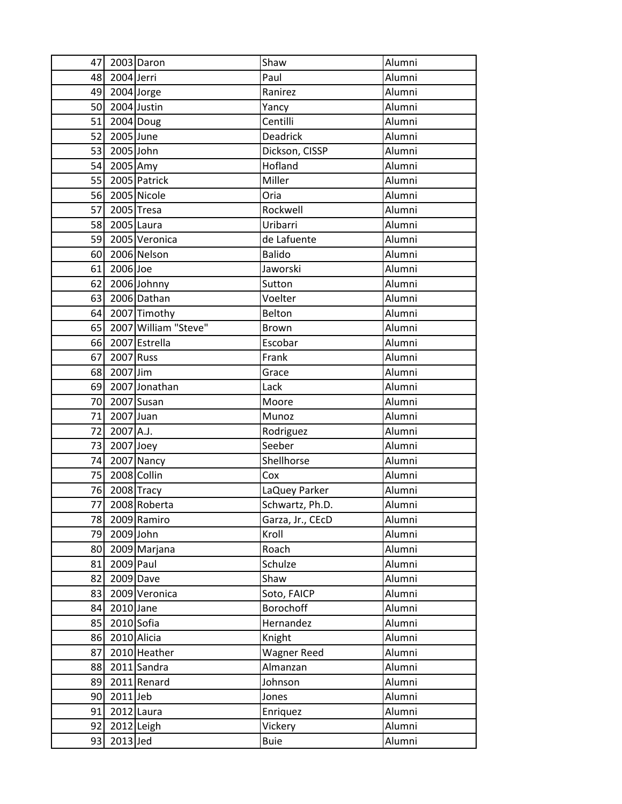| 47 I |                | 2003 Daron           | Shaw             | Alumni |
|------|----------------|----------------------|------------------|--------|
|      | 48 2004 Jerri  |                      | Paul             | Alumni |
|      | 49 2004 Jorge  |                      | Ranirez          | Alumni |
|      | 50 2004 Justin |                      | Yancy            | Alumni |
|      | 51 2004 Doug   |                      | Centilli         | Alumni |
|      | 52 2005 June   |                      | Deadrick         | Alumni |
|      | 53 2005 John   |                      | Dickson, CISSP   | Alumni |
|      | 54 2005 Amy    |                      | Hofland          | Alumni |
|      |                | 55 2005 Patrick      | Miller           | Alumni |
|      |                | 56 2005 Nicole       | Oria             | Alumni |
|      | 57 2005 Tresa  |                      | Rockwell         | Alumni |
|      | 58 2005 Laura  |                      | Uribarri         | Alumni |
|      |                | 59 2005 Veronica     | de Lafuente      | Alumni |
|      |                | 60 2006 Nelson       | <b>Balido</b>    | Alumni |
| 61   | 2006 Joe       |                      | Jaworski         | Alumni |
|      |                | 62 2006 Johnny       | Sutton           | Alumni |
|      |                | 63 2006 Dathan       | Voelter          | Alumni |
|      |                | 64 2007 Timothy      | Belton           | Alumni |
| 65   |                | 2007 William "Steve" | <b>Brown</b>     | Alumni |
|      |                | 66 2007 Estrella     | Escobar          | Alumni |
| 67   | 2007 Russ      |                      | Frank            | Alumni |
|      | 68 2007 Jim    |                      | Grace            | Alumni |
|      |                | 69 2007 Jonathan     | Lack             | Alumni |
| 70   |                | 2007 Susan           | Moore            | Alumni |
| 71   | 2007 Juan      |                      | Munoz            | Alumni |
| 72   | $2007$ A.J.    |                      | Rodriguez        | Alumni |
| 73   | 2007 Joey      |                      | Seeber           | Alumni |
| 74   |                | 2007 Nancy           | Shellhorse       | Alumni |
| 75   | 2008 Collin    |                      | Cox              | Alumni |
|      | 76 2008 Tracy  |                      | LaQuey Parker    | Alumni |
| 77   |                | 2008 Roberta         | Schwartz, Ph.D.  | Alumni |
| 78   |                | 2009 Ramiro          | Garza, Jr., CEcD | Alumni |
|      | 79 2009 John   |                      | Kroll            | Alumni |
|      |                | 80 2009 Marjana      | Roach            | Alumni |
| 81   | 2009 Paul      |                      | Schulze          | Alumni |
| 82   |                | 2009 Dave            | Shaw             | Alumni |
| 83   |                | 2009 Veronica        | Soto, FAICP      | Alumni |
|      | 84 2010 Jane   |                      | Borochoff        | Alumni |
|      | 85 2010 Sofia  |                      | Hernandez        | Alumni |
|      | 86 2010 Alicia |                      | Knight           | Alumni |
| 87   |                | 2010 Heather         | Wagner Reed      | Alumni |
|      |                | 88 2011 Sandra       | Almanzan         | Alumni |
| 89 I |                | 2011 Renard          | Johnson          | Alumni |
| 90   | $2011$ Jeb     |                      | Jones            | Alumni |
| 91   |                | 2012 Laura           | Enriquez         | Alumni |
| 92   |                | 2012 Leigh           | Vickery          | Alumni |
| 93   | 2013 Jed       |                      | <b>Buie</b>      | Alumni |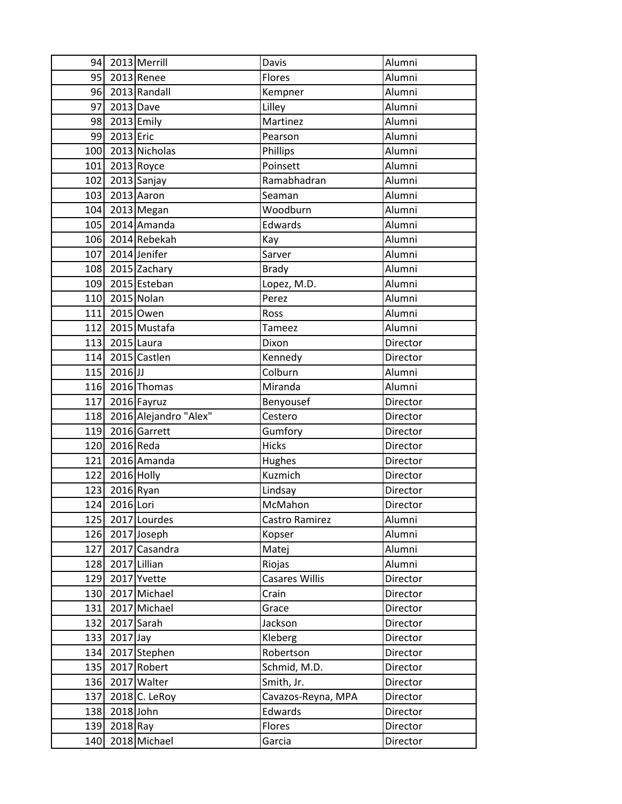|     |                 | 94 2013 Merrill           | Davis              | Alumni   |
|-----|-----------------|---------------------------|--------------------|----------|
|     |                 | 95 2013 Renee             | Flores             | Alumni   |
|     |                 | 96 2013 Randall           | Kempner            | Alumni   |
|     | 97 2013 Dave    |                           | Lilley             | Alumni   |
|     | 98 2013 Emily   |                           | Martinez           | Alumni   |
|     | 99 2013 Eric    |                           | Pearson            | Alumni   |
|     |                 | 100 2013 Nicholas         | Phillips           | Alumni   |
|     |                 | 101 2013 Royce            | Poinsett           | Alumni   |
|     |                 | 102 2013 Sanjay           | Ramabhadran        | Alumni   |
|     |                 | 103 2013 Aaron            | Seaman             | Alumni   |
|     |                 | 104 2013 Megan            | Woodburn           | Alumni   |
|     |                 | 105 2014 Amanda           | Edwards            | Alumni   |
|     |                 | 106 2014 Rebekah          | Kay                | Alumni   |
|     |                 | 107 2014 Jenifer          | Sarver             | Alumni   |
|     |                 | 108 2015 Zachary          | <b>Brady</b>       | Alumni   |
|     |                 | 109 2015 Esteban          | Lopez, M.D.        | Alumni   |
|     |                 | 110 2015 Nolan            | Perez              | Alumni   |
| 111 |                 | 2015 Owen                 | Ross               | Alumni   |
|     |                 | 112 2015 Mustafa          | Tameez             | Alumni   |
|     | 113 2015 Laura  |                           | Dixon              | Director |
|     |                 | 114 2015 Castlen          | Kennedy            | Director |
|     | $115$   2016 JJ |                           | Colburn            | Alumni   |
|     |                 | 116 2016 Thomas           | Miranda            | Alumni   |
|     |                 | 117 2016 Fayruz           | Benyousef          | Director |
|     |                 | 118 2016 Alejandro "Alex" | Cestero            | Director |
|     |                 | 119 2016 Garrett          | Gumfory            | Director |
|     | 120 2016 Reda   |                           | <b>Hicks</b>       | Director |
| 121 |                 | 2016 Amanda               | Hughes             | Director |
|     | 122 2016 Holly  |                           | Kuzmich            | Director |
|     | 123 2016 Ryan   |                           | Lindsay            | Director |
|     | 124 2016 Lori   |                           | McMahon            | Director |
|     |                 | 125 2017 Lourdes          | Castro Ramirez     | Alumni   |
|     |                 | 126 2017 Joseph           | Kopser             | Alumni   |
| 127 |                 | 2017 Casandra             | Matej              | Alumni   |
| 128 |                 | 2017 Lillian              | Riojas             | Alumni   |
| 129 |                 | 2017 Yvette               | Casares Willis     | Director |
| 130 |                 | 2017 Michael              | Crain              | Director |
| 131 |                 | 2017 Michael              | Grace              | Director |
| 132 |                 | 2017 Sarah                | Jackson            | Director |
| 133 | $2017$ Jay      |                           | Kleberg            | Director |
| 134 |                 | 2017 Stephen              | Robertson          | Director |
| 135 |                 | 2017 Robert               | Schmid, M.D.       | Director |
|     |                 | 136 2017 Walter           | Smith, Jr.         | Director |
| 137 |                 | 2018 C. LeRoy             | Cavazos-Reyna, MPA | Director |
| 138 | 2018 John       |                           | Edwards            | Director |
| 139 | 2018 Ray        |                           | Flores             | Director |
| 140 |                 | 2018 Michael              | Garcia             | Director |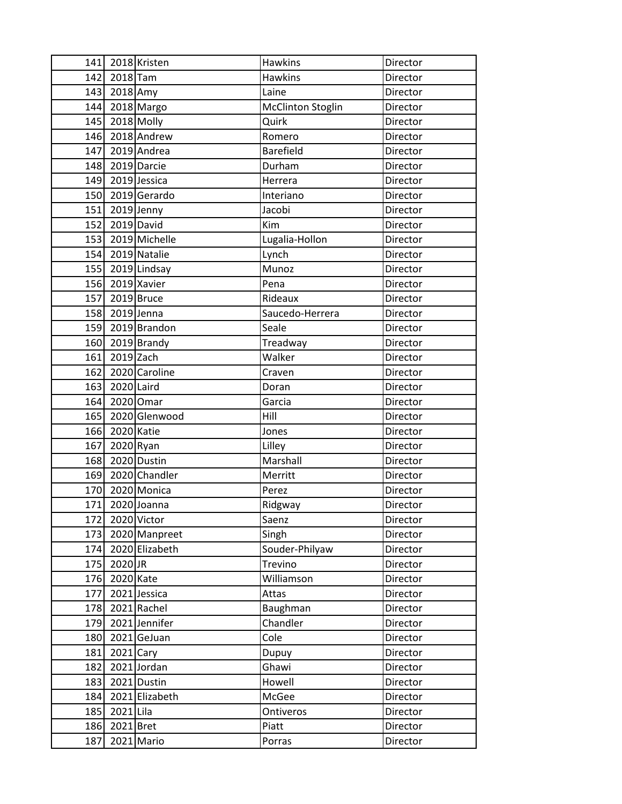|     |                | 141 2018 Kristen  | <b>Hawkins</b>           | Director |
|-----|----------------|-------------------|--------------------------|----------|
|     | 142 2018 Tam   |                   | <b>Hawkins</b>           | Director |
|     | 143 2018 Amy   |                   | Laine                    | Director |
|     |                | 144 2018 Margo    | <b>McClinton Stoglin</b> | Director |
|     | 145 2018 Molly |                   | Quirk                    | Director |
|     |                | 146 2018 Andrew   | Romero                   | Director |
|     |                | 147 2019 Andrea   | Barefield                | Director |
|     |                | 148 2019 Darcie   | Durham                   | Director |
|     |                | 149 2019 Jessica  | Herrera                  | Director |
|     |                | 150 2019 Gerardo  | Interiano                | Director |
|     | 151 2019 Jenny |                   | Jacobi                   | Director |
|     | 152 2019 David |                   | Kim                      | Director |
|     |                | 153 2019 Michelle | Lugalia-Hollon           | Director |
|     |                | 154 2019 Natalie  | Lynch                    | Director |
|     |                | 155 2019 Lindsay  | Munoz                    | Director |
|     |                | 156 2019 Xavier   | Pena                     | Director |
|     | 157 2019 Bruce |                   | Rideaux                  | Director |
|     | 158 2019 Jenna |                   | Saucedo-Herrera          | Director |
|     |                | 159 2019 Brandon  | Seale                    | Director |
|     |                | 160 2019 Brandy   | Treadway                 | Director |
|     | 161 2019 Zach  |                   | Walker                   | Director |
|     |                | 162 2020 Caroline | Craven                   | Director |
|     | 163 2020 Laird |                   | Doran                    | Director |
|     | 164 2020 Omar  |                   | Garcia                   | Director |
|     |                | 165 2020 Glenwood | Hill                     | Director |
|     | 166 2020 Katie |                   | Jones                    | Director |
|     | 167 2020 Ryan  |                   | Lilley                   | Director |
|     |                | 168 2020 Dustin   | Marshall                 | Director |
|     |                | 169 2020 Chandler | Merritt                  | Director |
|     |                | 170 2020 Monica   | Perez                    | Director |
|     |                | 171 2020 Joanna   | Ridgway                  | Director |
| 172 |                | 2020 Victor       | Saenz                    | Director |
| 173 |                | 2020 Manpreet     | Singh                    | Director |
| 174 |                | 2020 Elizabeth    | Souder-Philyaw           | Director |
| 175 | 2020 JR        |                   | Trevino                  | Director |
| 176 | 2020 Kate      |                   | Williamson               | Director |
| 177 |                | 2021 Jessica      | Attas                    | Director |
| 178 |                | 2021 Rachel       | Baughman                 | Director |
| 179 |                | 2021 Jennifer     | Chandler                 | Director |
| 180 |                | 2021 GeJuan       | Cole                     | Director |
| 181 | $2021$ Cary    |                   | Dupuy                    | Director |
| 182 |                | 2021 Jordan       | Ghawi                    | Director |
| 183 |                | 2021 Dustin       | Howell                   | Director |
| 184 |                | 2021 Elizabeth    | McGee                    | Director |
| 185 | 2021 Lila      |                   | Ontiveros                | Director |
| 186 | 2021 Bret      |                   | Piatt                    | Director |
| 187 |                | 2021 Mario        | Porras                   | Director |